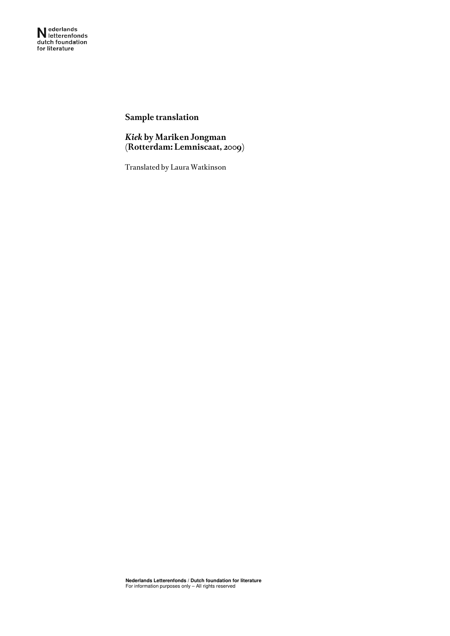**Sample translation** 

*Kiek* **by Mariken Jongman (Rotterdam: Lemniscaat, 2009)** 

Translated by Laura Watkinson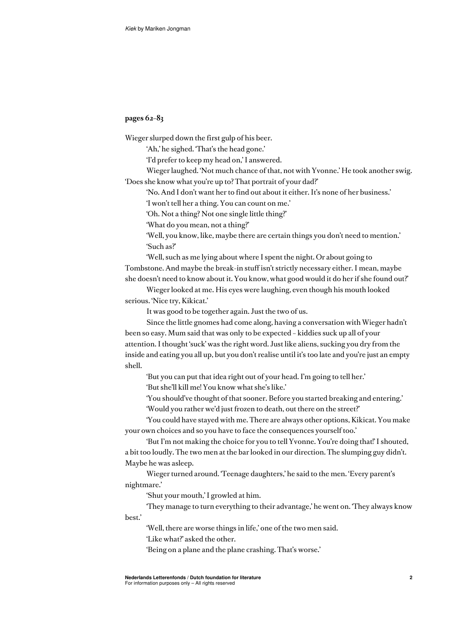## **pages 62–83**

Wieger slurped down the first gulp of his beer.

'Ah,' he sighed. 'That's the head gone.'

'I'd prefer to keep my head on,' I answered.

Wieger laughed. 'Not much chance of that, not with Yvonne.' He took another swig. 'Does she know what you're up to? That portrait of your dad?'

'No. And I don't want her to find out about it either. It's none of her business.'

'I won't tell her a thing. You can count on me.'

'Oh. Not a thing? Not one single little thing?'

'What do you mean, not a thing?'

'Well, you know, like, maybe there are certain things you don't need to mention.' 'Such as?'

'Well, such as me lying about where I spent the night. Or about going to Tombstone. And maybe the break-in stuff isn't strictly necessary either. I mean, maybe she doesn't need to know about it. You know, what good would it do her if she found out?'

Wieger looked at me. His eyes were laughing, even though his mouth looked serious. 'Nice try, Kikicat.'

It was good to be together again. Just the two of us.

Since the little gnomes had come along, having a conversation with Wieger hadn't been so easy. Mum said that was only to be expected – kiddies suck up all of your attention. I thought 'suck' was the right word. Just like aliens, sucking you dry from the inside and eating you all up, but you don't realise until it's too late and you're just an empty shell.

'But you can put that idea right out of your head. I'm going to tell her.' 'But she'll kill me! You know what she's like.'

'You should've thought of that sooner. Before you started breaking and entering.'

'Would you rather we'd just frozen to death, out there on the street?'

'You could have stayed with me. There are always other options, Kikicat. You make your own choices and so you have to face the consequences yourself too.'

'But I'm not making the choice for you to tell Yvonne. You're doing that!' I shouted, a bit too loudly. The two men at the bar looked in our direction. The slumping guy didn't. Maybe he was asleep.

Wieger turned around. 'Teenage daughters,' he said to the men. 'Every parent's nightmare.'

'Shut your mouth,' I growled at him.

'They manage to turn everything to their advantage,' he went on. 'They always know best.'

'Well, there are worse things in life,' one of the two men said.

'Like what?' asked the other.

'Being on a plane and the plane crashing. That's worse.'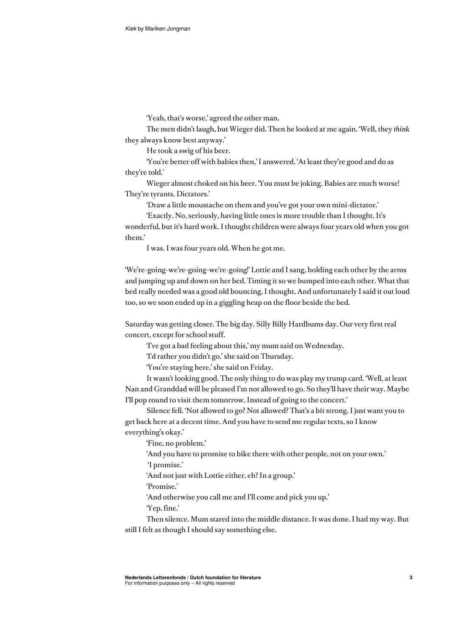'Yeah, that's worse,' agreed the other man.

The men didn't laugh, but Wieger did. Then he looked at me again. 'Well, they *think* they always know best anyway.'

He took a swig of his beer.

'You're better off with babies then,' I answered. 'At least they're good and do as they're told.'

Wieger almost choked on his beer. 'You must be joking. Babies are much worse! They're tyrants. Dictators.'

'Draw a little moustache on them and you've got your own mini-dictator.'

'Exactly. No, seriously, having little ones is more trouble than I thought. It's wonderful, but it's hard work. I thought children were always four years old when you got them.'

I was. I was four years old. When he got me.

'We're-going-we're-going-we're-going!' Lottie and I sang, holding each other by the arms and jumping up and down on her bed. Timing it so we bumped into each other. What that bed really needed was a good old bouncing, I thought. And unfortunately I said it out loud too, so we soon ended up in a giggling heap on the floor beside the bed.

Saturday was getting closer. The big day. Silly Billy Hardbums day. Our very first real concert, except for school stuff.

'I've got a bad feeling about this,' my mum said on Wednesday.

'I'd rather you didn't go,' she said on Thursday.

'You're staying here,' she said on Friday.

It wasn't looking good. The only thing to do was play my trump card. 'Well, at least Nan and Granddad will be pleased I'm not allowed to go. So they'll have their way. Maybe I'll pop round to visit them tomorrow. Instead of going to the concert.'

Silence fell. 'Not allowed to go? Not allowed? That's a bit strong. I just want you to get back here at a decent time. And you have to send me regular texts, so I know everything's okay.'

'Fine, no problem.'

'And you have to promise to bike there with other people, not on your own.'

'I promise.'

'And not just with Lottie either, eh? In a group.'

'Promise.'

'And otherwise you call me and I'll come and pick you up.'

'Yep, fine.'

Then silence. Mum stared into the middle distance. It was done. I had my way. But still I felt as though I should say something else.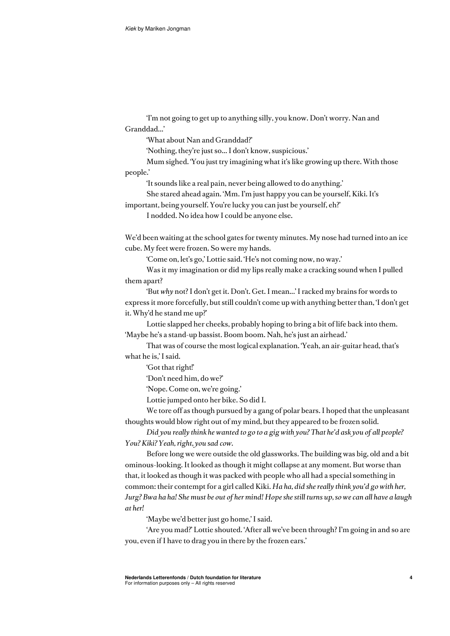'I'm not going to get up to anything silly, you know. Don't worry. Nan and Granddad...'

'What about Nan and Granddad?'

'Nothing, they're just so... I don't know, suspicious.'

Mum sighed. 'You just try imagining what it's like growing up there. With those people.'

'It sounds like a real pain, never being allowed to do anything.'

She stared ahead again. 'Mm. I'm just happy you can be yourself, Kiki. It's

important, being yourself. You're lucky you can just be yourself, eh?'

I nodded. No idea how I could be anyone else.

We'd been waiting at the school gates for twenty minutes. My nose had turned into an ice cube. My feet were frozen. So were my hands.

'Come on, let's go,' Lottie said. 'He's not coming now, no way.'

Was it my imagination or did my lips really make a cracking sound when I pulled them apart?

'But *why* not? I don't get it. Don't. Get. I mean...' I racked my brains for words to express it more forcefully, but still couldn't come up with anything better than, 'I don't get it. Why'd he stand me up?'

Lottie slapped her cheeks, probably hoping to bring a bit of life back into them. 'Maybe he's a stand-up bassist. Boom boom. Nah, he's just an airhead.'

That was of course the most logical explanation. 'Yeah, an air-guitar head, that's what he is,' I said.

'Got that right!'

'Don't need him, do we?'

'Nope. Come on, we're going.'

Lottie jumped onto her bike. So did I.

We tore off as though pursued by a gang of polar bears. I hoped that the unpleasant thoughts would blow right out of my mind, but they appeared to be frozen solid.

*Did you really think he wanted to go to a gig with you? That he'd ask you of all people? You? Kiki? Yeah, right, you sad cow.* 

Before long we were outside the old glassworks. The building was big, old and a bit ominous-looking. It looked as though it might collapse at any moment. But worse than that, it looked as though it was packed with people who all had a special something in common: their contempt for a girl called Kiki. *Ha ha, did she really think you'd go with her, Jurg? Bwa ha ha! She must be out of her mind! Hope she still turns up, so we can all have a laugh at her!* 

'Maybe we'd better just go home,' I said.

'Are you mad?' Lottie shouted. 'After all we've been through? I'm going in and so are you, even if I have to drag you in there by the frozen ears.'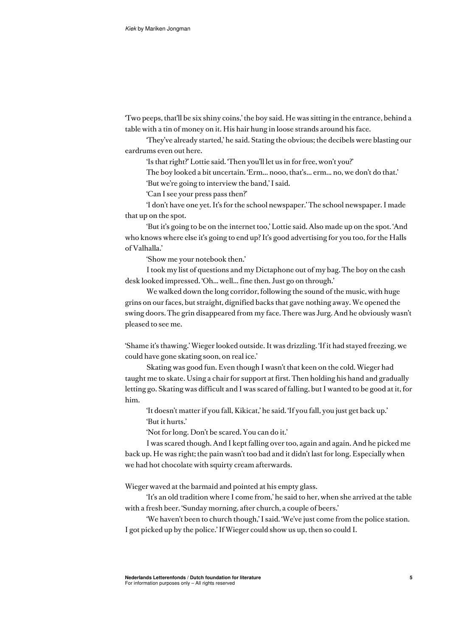'Two peeps, that'll be six shiny coins,' the boy said. He was sitting in the entrance, behind a table with a tin of money on it. His hair hung in loose strands around his face.

'They've already started,' he said. Stating the obvious; the decibels were blasting our eardrums even out here.

'Is that right?' Lottie said. 'Then you'll let us in for free, won't you?'

The boy looked a bit uncertain. 'Erm... nooo, that's... erm... no, we don't do that.'

'But we're going to interview the band,' I said.

'Can I see your press pass then?'

'I don't have one yet. It's for the school newspaper.' The school newspaper. I made that up on the spot.

'But it's going to be on the internet too,' Lottie said. Also made up on the spot. 'And who knows where else it's going to end up? It's good advertising for you too, for the Halls of Valhalla.'

'Show me your notebook then.'

I took my list of questions and my Dictaphone out of my bag. The boy on the cash desk looked impressed. 'Oh... well... fine then. Just go on through.'

We walked down the long corridor, following the sound of the music, with huge grins on our faces, but straight, dignified backs that gave nothing away. We opened the swing doors. The grin disappeared from my face. There was Jurg. And he obviously wasn't pleased to see me.

'Shame it's thawing.' Wieger looked outside. It was drizzling. 'If it had stayed freezing, we could have gone skating soon, on real ice.'

Skating was good fun. Even though I wasn't that keen on the cold. Wieger had taught me to skate. Using a chair for support at first. Then holding his hand and gradually letting go. Skating was difficult and I was scared of falling, but I wanted to be good at it, for him.

'It doesn't matter if you fall, Kikicat,' he said. 'If you fall, you just get back up.' 'But it hurts.'

'Not for long. Don't be scared. You can do it.'

I was scared though. And I kept falling over too, again and again. And he picked me back up. He was right; the pain wasn't too bad and it didn't last for long. Especially when we had hot chocolate with squirty cream afterwards.

Wieger waved at the barmaid and pointed at his empty glass.

'It's an old tradition where I come from,' he said to her, when she arrived at the table with a fresh beer. 'Sunday morning, after church, a couple of beers.'

'We haven't been to church though,' I said. 'We've just come from the police station. I got picked up by the police.' If Wieger could show us up, then so could I.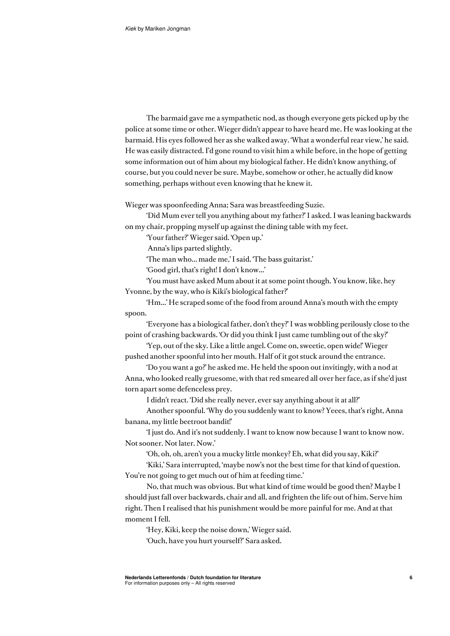The barmaid gave me a sympathetic nod, as though everyone gets picked up by the police at some time or other. Wieger didn't appear to have heard me. He was looking at the barmaid. His eyes followed her as she walked away. 'What a wonderful rear view,' he said. He was easily distracted. I'd gone round to visit him a while before, in the hope of getting some information out of him about my biological father. He didn't know anything, of course, but you could never be sure. Maybe, somehow or other, he actually did know something, perhaps without even knowing that he knew it.

Wieger was spoonfeeding Anna; Sara was breastfeeding Suzie.

'Did Mum ever tell you anything about my father?' I asked. I was leaning backwards on my chair, propping myself up against the dining table with my feet.

'Your father?' Wieger said. 'Open up.'

Anna's lips parted slightly.

'The man who... made me,' I said. 'The bass guitarist.'

'Good girl, that's right! I don't know...'

'You must have asked Mum about it at some point though. You know, like, hey Yvonne, by the way, who *is* Kiki's biological father?'

'Hm...' He scraped some of the food from around Anna's mouth with the empty spoon.

'Everyone has a biological father, don't they?' I was wobbling perilously close to the point of crashing backwards. 'Or did you think I just came tumbling out of the sky?'

'Yep, out of the sky. Like a little angel. Come on, sweetie, open wide!' Wieger pushed another spoonful into her mouth. Half of it got stuck around the entrance.

'Do you want a go?' he asked me. He held the spoon out invitingly, with a nod at Anna, who looked really gruesome, with that red smeared all over her face, as if she'd just torn apart some defenceless prey.

I didn't react. 'Did she really never, ever say anything about it at all?'

Another spoonful. 'Why do you suddenly want to know? Yeees, that's right, Anna banana, my little beetroot bandit!'

'I just do. And it's not suddenly. I want to know now because I want to know now. Not sooner. Not later. Now.'

'Oh, oh, oh, aren't you a mucky little monkey? Eh, what did you say, Kiki?'

'Kiki,' Sara interrupted, 'maybe now's not the best time for that kind of question. You're not going to get much out of him at feeding time.'

No, that much was obvious. But what kind of time would be good then? Maybe I should just fall over backwards, chair and all, and frighten the life out of him. Serve him right. Then I realised that his punishment would be more painful for me. And at that moment I fell.

'Hey, Kiki, keep the noise down,' Wieger said. 'Ouch, have you hurt yourself?' Sara asked.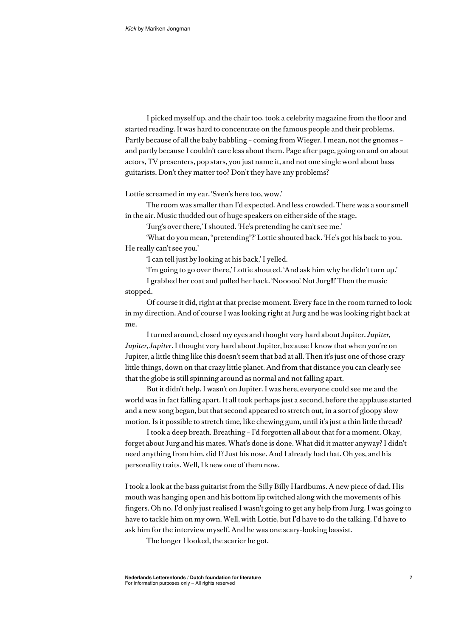I picked myself up, and the chair too, took a celebrity magazine from the floor and started reading. It was hard to concentrate on the famous people and their problems. Partly because of all the baby babbling – coming from Wieger, I mean, not the gnomes – and partly because I couldn't care less about them. Page after page, going on and on about actors, TV presenters, pop stars, you just name it, and not one single word about bass guitarists. Don't they matter too? Don't they have any problems?

Lottie screamed in my ear. 'Sven's here too, wow.'

The room was smaller than I'd expected. And less crowded. There was a sour smell in the air. Music thudded out of huge speakers on either side of the stage.

'Jurg's over there,' I shouted. 'He's pretending he can't see me.'

'What do you mean, "pretending"?' Lottie shouted back. 'He's got his back to you. He really can't see you.'

'I can tell just by looking at his back,' I yelled.

'I'm going to go over there,' Lottie shouted. 'And ask him why he didn't turn up.'

I grabbed her coat and pulled her back. 'Nooooo! Not Jurg!!!' Then the music stopped.

Of course it did, right at that precise moment. Every face in the room turned to look in my direction. And of course I was looking right at Jurg and he was looking right back at me.

I turned around, closed my eyes and thought very hard about Jupiter. *Jupiter, Jupiter, Jupiter*. I thought very hard about Jupiter, because I know that when you're on Jupiter, a little thing like this doesn't seem that bad at all. Then it's just one of those crazy little things, down on that crazy little planet. And from that distance you can clearly see that the globe is still spinning around as normal and not falling apart.

But it didn't help. I wasn't on Jupiter. I was here, everyone could see me and the world was in fact falling apart. It all took perhaps just a second, before the applause started and a new song began, but that second appeared to stretch out, in a sort of gloopy slow motion. Is it possible to stretch time, like chewing gum, until it's just a thin little thread?

I took a deep breath. Breathing – I'd forgotten all about that for a moment. Okay, forget about Jurg and his mates. What's done is done. What did it matter anyway? I didn't need anything from him, did I? Just his nose. And I already had that. Oh yes, and his personality traits. Well, I knew one of them now.

I took a look at the bass guitarist from the Silly Billy Hardbums. A new piece of dad. His mouth was hanging open and his bottom lip twitched along with the movements of his fingers. Oh no, I'd only just realised I wasn't going to get any help from Jurg. I was going to have to tackle him on my own. Well, with Lottie, but I'd have to do the talking. I'd have to ask him for the interview myself. And he was one scary-looking bassist.

The longer I looked, the scarier he got.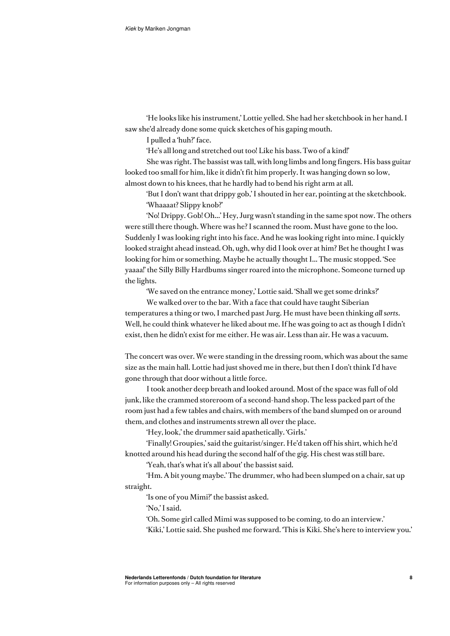'He looks like his instrument,' Lottie yelled. She had her sketchbook in her hand. I saw she'd already done some quick sketches of his gaping mouth.

I pulled a 'huh?' face.

'He's all long and stretched out too! Like his bass. Two of a kind!'

She was right. The bassist was tall, with long limbs and long fingers. His bass guitar looked too small for him, like it didn't fit him properly. It was hanging down so low, almost down to his knees, that he hardly had to bend his right arm at all.

'But I don't want that drippy gob,' I shouted in her ear, pointing at the sketchbook. 'Whaaaat? Slippy knob?'

'No! Drippy. Gob! Oh...' Hey, Jurg wasn't standing in the same spot now. The others were still there though. Where was he? I scanned the room. Must have gone to the loo. Suddenly I was looking right into his face. And he was looking right into mine. I quickly looked straight ahead instead. Oh, ugh, why did I look over at him? Bet he thought I was looking for him or something. Maybe he actually thought I... The music stopped. 'See yaaaa!' the Silly Billy Hardbums singer roared into the microphone. Someone turned up the lights.

'We saved on the entrance money,' Lottie said. 'Shall we get some drinks?'

We walked over to the bar. With a face that could have taught Siberian temperatures a thing or two, I marched past Jurg. He must have been thinking *all sorts*. Well, he could think whatever he liked about me. If he was going to act as though I didn't exist, then he didn't exist for me either. He was air. Less than air. He was a vacuum.

The concert was over. We were standing in the dressing room, which was about the same size as the main hall. Lottie had just shoved me in there, but then I don't think I'd have gone through that door without a little force.

I took another deep breath and looked around. Most of the space was full of old junk, like the crammed storeroom of a second-hand shop. The less packed part of the room just had a few tables and chairs, with members of the band slumped on or around them, and clothes and instruments strewn all over the place.

'Hey, look,' the drummer said apathetically. 'Girls.'

'Finally! Groupies,' said the guitarist/singer. He'd taken off his shirt, which he'd knotted around his head during the second half of the gig. His chest was still bare.

'Yeah, that's what it's all about' the bassist said.

'Hm. A bit young maybe.' The drummer, who had been slumped on a chair, sat up straight.

'Is one of you Mimi?' the bassist asked.

'No,' I said.

'Oh. Some girl called Mimi was supposed to be coming, to do an interview.'

'Kiki,' Lottie said. She pushed me forward. 'This is Kiki. She's here to interview you.'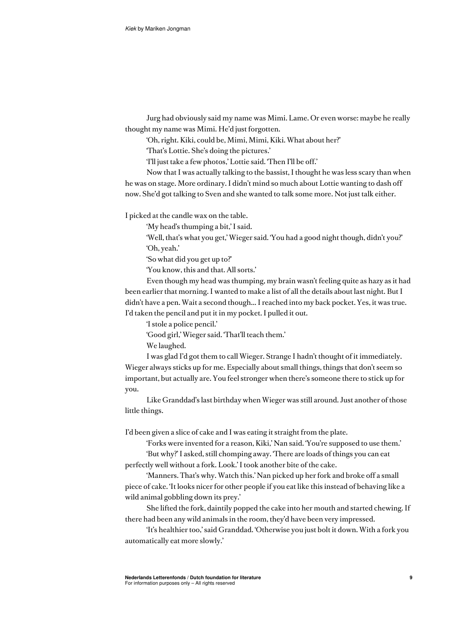Jurg had obviously said my name was Mimi. Lame. Or even worse: maybe he really thought my name was Mimi. He'd just forgotten.

'Oh, right. Kiki, could be, Mimi, Mimi, Kiki. What about her?'

'That's Lottie. She's doing the pictures.'

'I'll just take a few photos,' Lottie said. 'Then I'll be off.'

Now that I was actually talking to the bassist, I thought he was less scary than when he was on stage. More ordinary. I didn't mind so much about Lottie wanting to dash off now. She'd got talking to Sven and she wanted to talk some more. Not just talk either.

I picked at the candle wax on the table.

'My head's thumping a bit,' I said.

'Well, that's what you get,' Wieger said. 'You had a good night though, didn't you?' 'Oh, yeah.'

'So what did you get up to?'

'You know, this and that. All sorts.'

Even though my head was thumping, my brain wasn't feeling quite as hazy as it had been earlier that morning. I wanted to make a list of all the details about last night. But I didn't have a pen. Wait a second though... I reached into my back pocket. Yes, it was true. I'd taken the pencil and put it in my pocket. I pulled it out.

'I stole a police pencil.'

'Good girl,' Wieger said. 'That'll teach them.'

We laughed.

I was glad I'd got them to call Wieger. Strange I hadn't thought of it immediately. Wieger always sticks up for me. Especially about small things, things that don't seem so important, but actually are. You feel stronger when there's someone there to stick up for you.

Like Granddad's last birthday when Wieger was still around. Just another of those little things.

I'd been given a slice of cake and I was eating it straight from the plate.

'Forks were invented for a reason, Kiki,' Nan said. 'You're supposed to use them.' 'But why?' I asked, still chomping away. 'There are loads of things you can eat

perfectly well without a fork. Look.' I took another bite of the cake.

'Manners. That's why. Watch this.' Nan picked up her fork and broke off a small piece of cake. 'It looks nicer for other people if you eat like this instead of behaving like a wild animal gobbling down its prey.'

She lifted the fork, daintily popped the cake into her mouth and started chewing. If there had been any wild animals in the room, they'd have been very impressed.

'It's healthier too,' said Granddad. 'Otherwise you just bolt it down. With a fork you automatically eat more slowly.'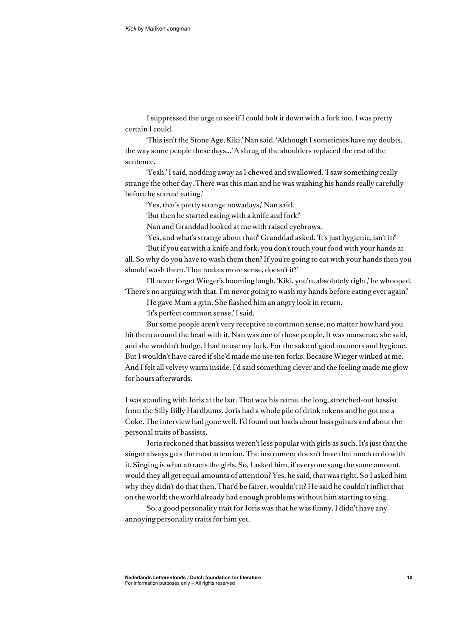I suppressed the urge to see if I could bolt it down with a fork too. I was pretty certain I could.

'This isn't the Stone Age, Kiki,' Nan said. 'Although I sometimes have my doubts, the way some people these days...' A shrug of the shoulders replaced the rest of the sentence.

'Yeah,' I said, nodding away as I chewed and swallowed. 'I saw something really strange the other day. There was this man and he was washing his hands really carefully before he started eating.'

'Yes, that's pretty strange nowadays,' Nan said.

'But then he started eating with a knife and fork!'

Nan and Granddad looked at me with raised eyebrows.

'Yes, and what's strange about that?' Granddad asked. 'It's just hygienic, isn't it?' 'But if you eat with a knife and fork, you don't touch your food with your hands at

all. So why do you have to wash them then? If you're going to eat with your hands then you should wash them. That makes more sense, doesn't it?'

I'll never forget Wieger's booming laugh. 'Kiki, you're absolutely right,' he whooped. 'There's no arguing with that. I'm never going to wash my hands before eating ever again!'

He gave Mum a grin. She flashed him an angry look in return.

'It's perfect common sense,' I said.

But some people aren't very receptive to common sense, no matter how hard you hit them around the head with it. Nan was one of those people. It was nonsense, she said, and she wouldn't budge. I had to use my fork. For the sake of good manners and hygiene. But I wouldn't have cared if she'd made me use ten forks. Because Wieger winked at me. And I felt all velvety warm inside. I'd said something clever and the feeling made me glow for hours afterwards.

I was standing with Joris at the bar. That was his name, the long, stretched-out bassist from the Silly Billy Hardbums. Joris had a whole pile of drink tokens and he got me a Coke. The interview had gone well. I'd found out loads about bass guitars and about the personal traits of bassists.

Joris reckoned that bassists weren't less popular with girls as such. It's just that the singer always gets the most attention. The instrument doesn't have that much to do with it. Singing is what attracts the girls. So, I asked him, if everyone sang the same amount, would they all get equal amounts of attention? Yes, he said, that was right. So I asked him why they didn't do that then. That'd be fairer, wouldn't it? He said he couldn't inflict that on the world; the world already had enough problems without him starting to sing.

So, a good personality trait for Joris was that he was funny. I didn't have any annoying personality traits for him yet.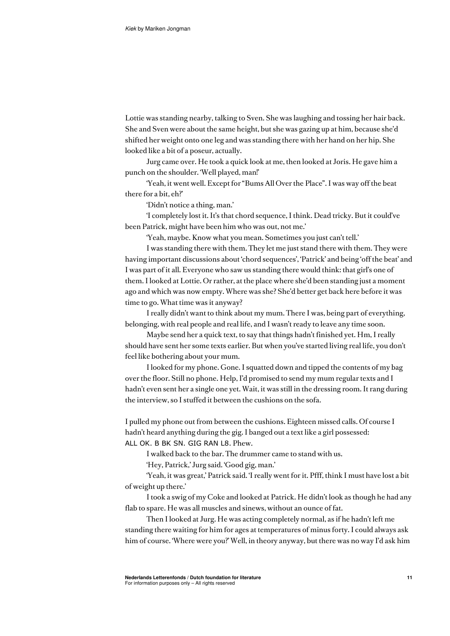Lottie was standing nearby, talking to Sven. She was laughing and tossing her hair back. She and Sven were about the same height, but she was gazing up at him, because she'd shifted her weight onto one leg and was standing there with her hand on her hip. She looked like a bit of a poseur, actually.

Jurg came over. He took a quick look at me, then looked at Joris. He gave him a punch on the shoulder. 'Well played, man!'

'Yeah, it went well. Except for "Bums All Over the Place". I was way off the beat there for a bit, eh?'

'Didn't notice a thing, man.'

'I completely lost it. It's that chord sequence, I think. Dead tricky. But it could've been Patrick, might have been him who was out, not me.'

'Yeah, maybe. Know what you mean. Sometimes you just can't tell.'

I was standing there with them. They let me just stand there with them. They were having important discussions about 'chord sequences', 'Patrick' and being 'off the beat' and I was part of it all. Everyone who saw us standing there would think: that girl's one of them. I looked at Lottie. Or rather, at the place where she'd been standing just a moment ago and which was now empty. Where was she? She'd better get back here before it was time to go. What time was it anyway?

I really didn't want to think about my mum. There I was, being part of everything, belonging, with real people and real life, and I wasn't ready to leave any time soon.

Maybe send her a quick text, to say that things hadn't finished yet. Hm, I really should have sent her some texts earlier. But when you've started living real life, you don't feel like bothering about your mum.

I looked for my phone. Gone. I squatted down and tipped the contents of my bag over the floor. Still no phone. Help, I'd promised to send my mum regular texts and I hadn't even sent her a single one yet. Wait, it was still in the dressing room. It rang during the interview, so I stuffed it between the cushions on the sofa.

I pulled my phone out from between the cushions. Eighteen missed calls. Of course I hadn't heard anything during the gig. I banged out a text like a girl possessed: ALL OK. B BK SN. GIG RAN L8. Phew.

I walked back to the bar. The drummer came to stand with us.

'Hey, Patrick,' Jurg said. 'Good gig, man.'

'Yeah, it was great,' Patrick said. 'I really went for it. Pfff, think I must have lost a bit of weight up there.'

I took a swig of my Coke and looked at Patrick. He didn't look as though he had any flab to spare. He was all muscles and sinews, without an ounce of fat.

Then I looked at Jurg. He was acting completely normal, as if he hadn't left me standing there waiting for him for ages at temperatures of minus forty. I could always ask him of course. 'Where were you?' Well, in theory anyway, but there was no way I'd ask him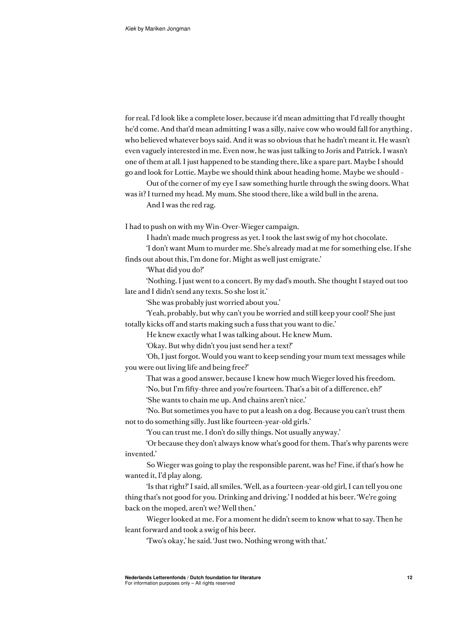```
for real. I'd look like a complete loser, because it'd mean admitting that I'd really thought 
he'd come. And that'd mean admitting I was a silly, naive cow who would fall for anything , 
who believed whatever boys said. And it was so obvious that he hadn't meant it. He wasn't 
even vaguely interested in me. Even now, he was just talking to Joris and Patrick. I wasn't 
one of them at all. I just happened to be standing there, like a spare part. Maybe I should 
go and look for Lottie. Maybe we should think about heading home. Maybe we should – 
       Out of the corner of my eye I saw something hurtle through the swing doors. What
```
was it? I turned my head. My mum. She stood there, like a wild bull in the arena. And I was the red rag.

I had to push on with my Win-Over-Wieger campaign.

I hadn't made much progress as yet. I took the last swig of my hot chocolate.

'I don't want Mum to murder me. She's already mad at me for something else. If she finds out about this, I'm done for. Might as well just emigrate.'

'What did you do?'

'Nothing. I just went to a concert. By my dad's mouth. She thought I stayed out too late and I didn't send any texts. So she lost it.'

'She was probably just worried about you.'

'Yeah, probably, but why can't you be worried and still keep your cool? She just totally kicks off and starts making such a fuss that you want to die.'

He knew exactly what I was talking about. He knew Mum.

'Okay. But why didn't you just send her a text?'

'Oh, I just forgot. Would you want to keep sending your mum text messages while you were out living life and being free?'

That was a good answer, because I knew how much Wieger loved his freedom.

'No, but I'm fifty-three and you're fourteen. That's a bit of a difference, eh?'

'She wants to chain me up. And chains aren't nice.'

'No. But sometimes you have to put a leash on a dog. Because you can't trust them not to do something silly. Just like fourteen-year-old girls.'

'You can trust me. I don't do silly things. Not usually anyway.'

'Or because they don't always know what's good for them. That's why parents were invented.'

So Wieger was going to play the responsible parent, was he? Fine, if that's how he wanted it, I'd play along.

'Is that right?' I said, all smiles. 'Well, as a fourteen-year-old girl, I can tell you one thing that's not good for you. Drinking and driving.' I nodded at his beer. 'We're going back on the moped, aren't we? Well then.'

Wieger looked at me. For a moment he didn't seem to know what to say. Then he leant forward and took a swig of his beer.

'Two's okay,' he said. 'Just two. Nothing wrong with that.'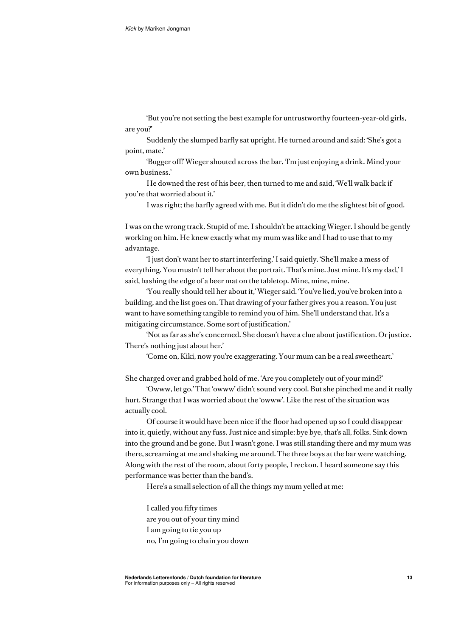'But you're not setting the best example for untrustworthy fourteen-year-old girls, are you?'

Suddenly the slumped barfly sat upright. He turned around and said: 'She's got a point, mate.'

'Bugger off!' Wieger shouted across the bar. 'I'm just enjoying a drink. Mind your own business.'

He downed the rest of his beer, then turned to me and said, 'We'll walk back if you're that worried about it.'

I was right; the barfly agreed with me. But it didn't do me the slightest bit of good.

I was on the wrong track. Stupid of me. I shouldn't be attacking Wieger. I should be gently working on him. He knew exactly what my mum was like and I had to use that to my advantage.

'I just don't want her to start interfering,' I said quietly. 'She'll make a mess of everything. You mustn't tell her about the portrait. That's mine. Just mine. It's my dad,' I said, bashing the edge of a beer mat on the tabletop. Mine, mine, mine.

'You really should tell her about it,' Wieger said. 'You've lied, you've broken into a building, and the list goes on. That drawing of your father gives you a reason. You just want to have something tangible to remind you of him. She'll understand that. It's a mitigating circumstance. Some sort of justification.'

'Not as far as she's concerned. She doesn't have a clue about justification. Or justice. There's nothing just about her.'

'Come on, Kiki, now you're exaggerating. Your mum can be a real sweetheart.'

She charged over and grabbed hold of me. 'Are you completely out of your mind?'

'Owww, let go.' That 'owww' didn't sound very cool. But she pinched me and it really hurt. Strange that I was worried about the 'owww'. Like the rest of the situation was actually cool.

Of course it would have been nice if the floor had opened up so I could disappear into it, quietly, without any fuss. Just nice and simple: bye bye, that's all, folks. Sink down into the ground and be gone. But I wasn't gone. I was still standing there and my mum was there, screaming at me and shaking me around. The three boys at the bar were watching. Along with the rest of the room, about forty people, I reckon. I heard someone say this performance was better than the band's.

Here's a small selection of all the things my mum yelled at me:

I called you fifty times are you out of your tiny mind I am going to tie you up no, I'm going to chain you down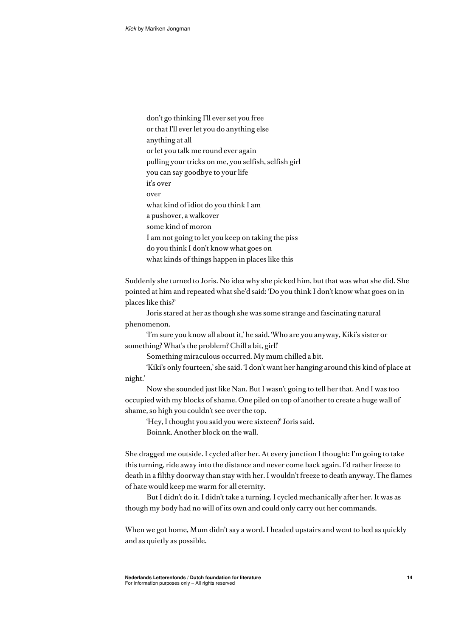don't go thinking I'll ever set you free or that I'll ever let you do anything else anything at all or let you talk me round ever again pulling your tricks on me, you selfish, selfish girl you can say goodbye to your life it's over over what kind of idiot do you think I am a pushover, a walkover some kind of moron I am not going to let you keep on taking the piss do you think I don't know what goes on what kinds of things happen in places like this

Suddenly she turned to Joris. No idea why she picked him, but that was what she did. She pointed at him and repeated what she'd said: 'Do you think I don't know what goes on in places like this?'

Joris stared at her as though she was some strange and fascinating natural phenomenon.

'I'm sure you know all about it,' he said. 'Who are you anyway, Kiki's sister or something? What's the problem? Chill a bit, girl!'

Something miraculous occurred. My mum chilled a bit.

'Kiki's only fourteen,' she said. 'I don't want her hanging around this kind of place at night.'

Now she sounded just like Nan. But I wasn't going to tell her that. And I was too occupied with my blocks of shame. One piled on top of another to create a huge wall of shame, so high you couldn't see over the top.

'Hey, I thought you said you were sixteen?' Joris said. Boinnk. Another block on the wall.

She dragged me outside. I cycled after her. At every junction I thought: I'm going to take this turning, ride away into the distance and never come back again. I'd rather freeze to death in a filthy doorway than stay with her. I wouldn't freeze to death anyway. The flames of hate would keep me warm for all eternity.

But I didn't do it. I didn't take a turning. I cycled mechanically after her. It was as though my body had no will of its own and could only carry out her commands.

When we got home, Mum didn't say a word. I headed upstairs and went to bed as quickly and as quietly as possible.